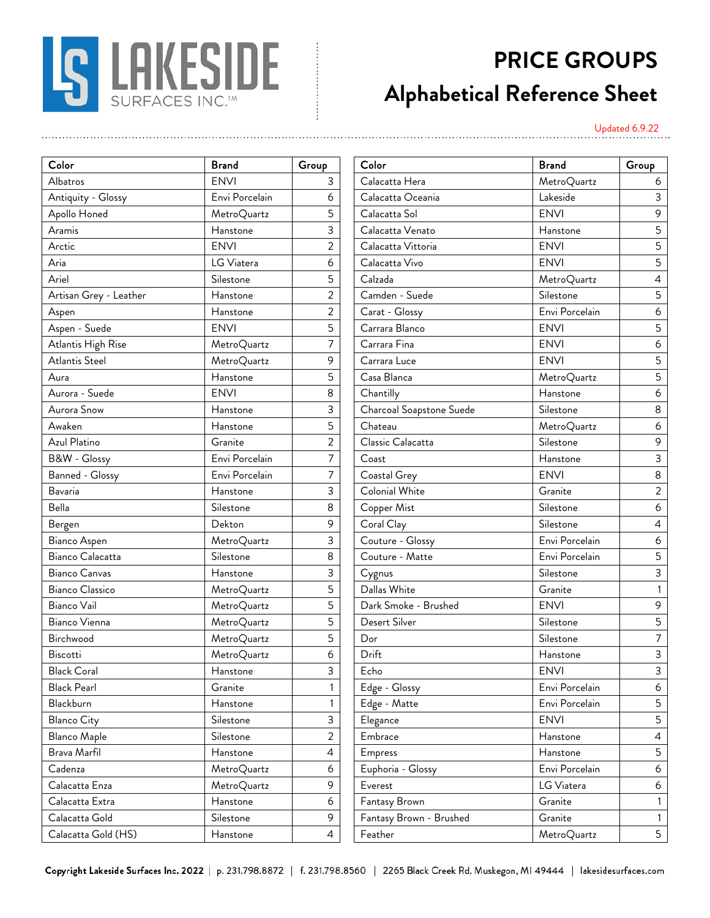

## **PRICE GROUPS Alphabetical Reference Sheet**

Updated 6.9.22

| Color                  | Brand          | Group          |
|------------------------|----------------|----------------|
| Albatros               | <b>ENVI</b>    | 3              |
| Antiquity - Glossy     | Envi Porcelain | 6              |
| Apollo Honed           | MetroQuartz    | 5              |
| Aramis                 | Hanstone       | 3              |
| Arctic                 | <b>ENVI</b>    | 2              |
| Aria                   | LG Viatera     | 6              |
| Ariel                  | Silestone      | 5              |
| Artisan Grey - Leather | Hanstone       | $\overline{2}$ |
| Aspen                  | Hanstone       | 2              |
| Aspen - Suede          | <b>ENVI</b>    | 5              |
| Atlantis High Rise     | MetroQuartz    | 7              |
| Atlantis Steel         | MetroQuartz    | 9              |
| Aura                   | Hanstone       | 5              |
| Aurora - Suede         | <b>ENVI</b>    | 8              |
| Aurora Snow            | Hanstone       | 3              |
| Awaken                 | Hanstone       | 5              |
| Azul Platino           | Granite        | 2              |
| B&W - Glossy           | Envi Porcelain | 7              |
| Banned - Glossy        | Envi Porcelain | 7              |
| Bavaria                | Hanstone       | 3              |
| Bella                  | Silestone      | 8              |
| Bergen                 | Dekton         | 9              |
| Bianco Aspen           | MetroQuartz    | 3              |
| Bianco Calacatta       | Silestone      | 8              |
| Bianco Canvas          | Hanstone       | 3              |
| Bianco Classico        | MetroQuartz    | 5              |
| Bianco Vail            | MetroQuartz    | 5              |
| Bianco Vienna          | MetroQuartz    | 5              |
| Birchwood              | MetroQuartz    | 5              |
| Biscotti               | MetroQuartz    | 6              |
| <b>Black Coral</b>     | Hanstone       | 3              |
| <b>Black Pearl</b>     | Granite        | 1              |
| Blackburn              | Hanstone       | 1              |
| <b>Blanco City</b>     | Silestone      | 3              |
| <b>Blanco Maple</b>    | Silestone      | 2              |
| Brava Marfil           | Hanstone       | 4              |
| Cadenza                | MetroQuartz    | 6              |
| Calacatta Enza         | MetroQuartz    | 9              |
| Calacatta Extra        | Hanstone       | 6              |
| Calacatta Gold         | Silestone      | 9              |
| Calacatta Gold (HS)    | Hanstone       | 4              |

| Color                  | <b>Brand</b>   | Group          | Color                    | <b>Brand</b>   | Group            |
|------------------------|----------------|----------------|--------------------------|----------------|------------------|
| Albatros               | <b>ENVI</b>    | 3              | Calacatta Hera           | MetroQuartz    | 6                |
| Antiquity - Glossy     | Envi Porcelain | 6              | Calacatta Oceania        | Lakeside       | 3                |
| Apollo Honed           | MetroQuartz    | 5              | Calacatta Sol            | <b>ENVI</b>    | $\mathsf 9$      |
| Aramis                 | Hanstone       | 3              | Calacatta Venato         | Hanstone       | 5                |
| Arctic                 | <b>ENVI</b>    | 2              | Calacatta Vittoria       | <b>ENVI</b>    | 5                |
| Aria                   | LG Viatera     | 6              | Calacatta Vivo           | <b>ENVI</b>    | 5                |
| Ariel                  | Silestone      | 5              | Calzada                  | MetroQuartz    | $\overline{a}$   |
| Artisan Grey - Leather | Hanstone       | $\overline{c}$ | Camden - Suede           | Silestone      | $5\phantom{.0}$  |
| Aspen                  | Hanstone       | $\overline{2}$ | Carat - Glossy           | Envi Porcelain | $\boldsymbol{6}$ |
| Aspen - Suede          | <b>ENVI</b>    | 5              | Carrara Blanco           | <b>ENVI</b>    | 5                |
| Atlantis High Rise     | MetroQuartz    | $\overline{7}$ | Carrara Fina             | <b>ENVI</b>    | 6                |
| Atlantis Steel         | MetroQuartz    | 9              | Carrara Luce             | <b>ENVI</b>    | 5                |
| Aura                   | Hanstone       | 5              | Casa Blanca              | MetroQuartz    | 5                |
| Aurora - Suede         | <b>ENVI</b>    | 8              | Chantilly                | Hanstone       | 6                |
| Aurora Snow            | Hanstone       | 3              | Charcoal Soapstone Suede | Silestone      | 8                |
| Awaken                 | Hanstone       | 5              | Chateau                  | MetroQuartz    | $\boldsymbol{6}$ |
| Azul Platino           | Granite        | $\overline{2}$ | Classic Calacatta        | Silestone      | 9                |
| B&W - Glossy           | Envi Porcelain | 7              | Coast                    | Hanstone       | $\mathsf{3}$     |
| <b>Banned - Glossy</b> | Envi Porcelain | 7              | Coastal Grey             | <b>ENVI</b>    | 8                |
| Bavaria                | Hanstone       | 3              | Colonial White           | Granite        | $\overline{2}$   |
| Bella                  | Silestone      | 8              | Copper Mist              | Silestone      | $\boldsymbol{6}$ |
| Bergen                 | Dekton         | 9              | Coral Clay               | Silestone      | $\overline{4}$   |
| Bianco Aspen           | MetroQuartz    | 3              | Couture - Glossy         | Envi Porcelain | 6                |
| Bianco Calacatta       | Silestone      | 8              | Couture - Matte          | Envi Porcelain | 5                |
| Bianco Canvas          | Hanstone       | 3              | Cygnus                   | Silestone      | 3                |
| <b>Bianco Classico</b> | MetroQuartz    | 5              | Dallas White             | Granite        | $\mathbf{1}$     |
| Bianco Vail            | MetroQuartz    | 5              | Dark Smoke - Brushed     | <b>ENVI</b>    | 9                |
| Bianco Vienna          | MetroQuartz    | 5              | Desert Silver            | Silestone      | 5                |
| Birchwood              | MetroQuartz    | 5              | Dor                      | Silestone      | $\overline{7}$   |
| Biscotti               | MetroQuartz    | 6              | Drift                    | Hanstone       | 3                |
| <b>Black Coral</b>     | Hanstone       | 3              | Echo                     | <b>ENVI</b>    | $\overline{3}$   |
| <b>Black Pearl</b>     | Granite        | 1              | Edge - Glossy            | Envi Porcelain | 6                |
| Blackburn              | Hanstone       |                | Edge - Matte             | Envi Porcelain | 5                |
| <b>Blanco City</b>     | Silestone      | 3              | Elegance                 | <b>ENVI</b>    | 5                |
| <b>Blanco Maple</b>    | Silestone      | $\overline{c}$ | Embrace                  | Hanstone       | $\overline{4}$   |
| Brava Marfil           | Hanstone       | 4              | Empress                  | Hanstone       | 5                |
| Cadenza                | MetroQuartz    | 6              | Euphoria - Glossy        | Envi Porcelain | 6                |
| Calacatta Enza         | MetroQuartz    | 9              | Everest                  | LG Viatera     | 6                |
| Calacatta Extra        | Hanstone       | 6              | Fantasy Brown            | Granite        | 1                |
| Calacatta Gold         | Silestone      | 9              | Fantasy Brown - Brushed  | Granite        | 1                |
| Calacatta Gold (HS)    | Hanstone       | $\overline{a}$ | Feather                  | MetroQuartz    | 5                |

Copyright Lakeside Surfaces Inc. 2022 | p. 231.798.8872 | f. 231.798.8560 | 2265 Black Creek Rd. Muskegon, MI 49444 | lakesidesurfaces.com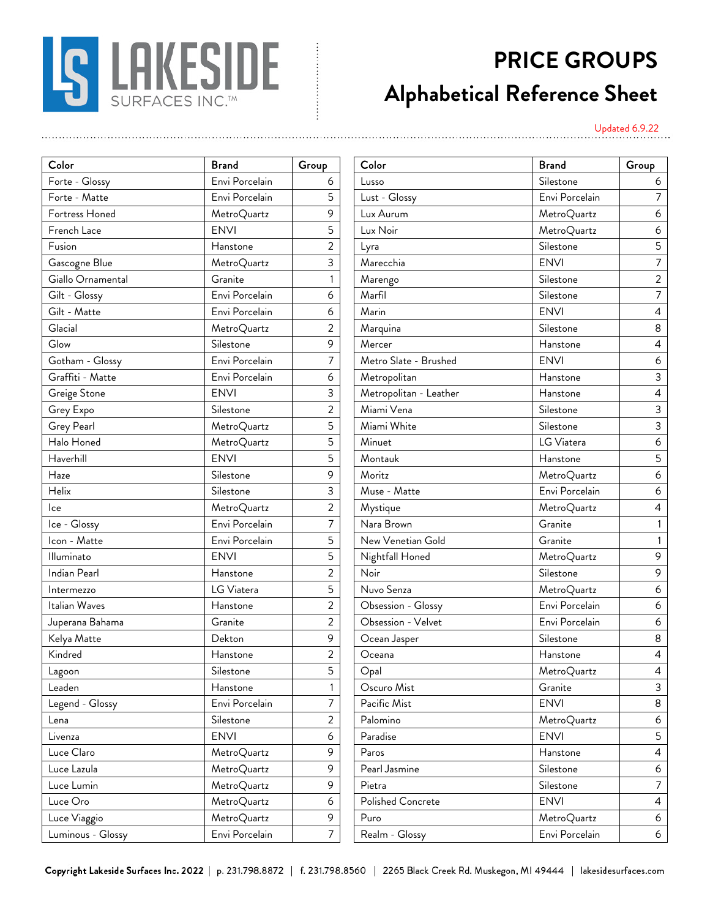

## **PRICE GROUPS Alphabetical Reference Sheet**

Updated 6.9.22

| Color             | Brand          | Group          |
|-------------------|----------------|----------------|
| Forte - Glossy    | Envi Porcelain | 6              |
| Forte - Matte     | Envi Porcelain | 5              |
| Fortress Honed    | MetroQuartz    | 9              |
| French Lace       | <b>ENVI</b>    | 5              |
| Fusion            | Hanstone       | $\overline{2}$ |
| Gascogne Blue     | MetroQuartz    | 3              |
| Giallo Ornamental | Granite        | 1              |
| Gilt - Glossy     | Envi Porcelain | 6              |
| Gilt - Matte      | Envi Porcelain | 6              |
| Glacial           | MetroQuartz    | 2              |
| Glow              | Silestone      | 9              |
| Gotham - Glossy   | Envi Porcelain | 7              |
| Graffiti - Matte  | Envi Porcelain | 6              |
| Greige Stone      | <b>ENVI</b>    | 3              |
| Grey Expo         | Silestone      | 2              |
| Grey Pearl        | MetroQuartz    | 5              |
| Halo Honed        | MetroQuartz    | 5              |
| Haverhill         | <b>ENVI</b>    | 5              |
| Haze              | Silestone      | 9              |
| Helix             | Silestone      | 3              |
| lce               | MetroQuartz    | 2              |
| Ice - Glossy      | Envi Porcelain | 7              |
| Icon - Matte      | Envi Porcelain | 5              |
| Illuminato        | <b>ENVI</b>    | 5              |
| Indian Pearl      | Hanstone       | $\overline{2}$ |
| Intermezzo        | LG Viatera     | 5              |
| Italian Waves     | Hanstone       | 2              |
| Juperana Bahama   | Granite        | $\overline{2}$ |
| Kelya Matte       | Dekton         | 9              |
| Kindred           | Hanstone       | 2              |
| Lagoon            | Silestone      | 5              |
| Leaden            | Hanstone       | $\mathbf{1}$   |
| Legend - Glossy   | Envi Porcelain | 7              |
| Lena              | Silestone      | $\overline{c}$ |
| Livenza           | <b>ENVI</b>    | 6              |
| Luce Claro        | MetroQuartz    | 9              |
| Luce Lazula       | MetroQuartz    | 9              |
| Luce Lumin        | MetroQuartz    | 9              |
| Luce Oro          | MetroQuartz    | 6              |
| Luce Viaggio      | MetroQuartz    | 9              |
| Luminous - Glossy | Envi Porcelain | 7              |

| Envi Porcelain<br>Silestone<br>Lusso<br>6<br>6<br>Envi Porcelain<br>Envi Porcelain<br>5<br>Lust - Glossy<br>9<br>MetroQuartz<br>Lux Aurum<br>MetroQuartz<br>6<br><b>ENVI</b><br>5<br>Lux Noir<br>MetroQuartz<br>6<br>$\overline{2}$<br>Silestone<br>5<br>Hanstone<br>Lyra<br>3<br>$\overline{7}$<br>Marecchia<br><b>ENVI</b><br>MetroQuartz<br>$\sqrt{2}$<br>Granite<br>Silestone<br>Marengo<br>Envi Porcelain<br>$\overline{7}$<br>Silestone<br>6<br>Marfil<br>Envi Porcelain<br>6<br>Marin<br><b>ENVI</b><br>4<br>$\overline{2}$<br>Silestone<br>$\,8\,$<br>MetroQuartz<br>Marquina<br>9<br>Silestone<br>Mercer<br>$\overline{4}$<br>Hanstone<br>Envi Porcelain<br>7<br>Metro Slate - Brushed<br><b>ENVI</b><br>6<br>Envi Porcelain<br>$\mathsf 3$<br>Metropolitan<br>6<br>Hanstone<br><b>ENVI</b><br>3<br>Metropolitan - Leather<br>Hanstone<br>4<br>$\overline{a}$<br>Miami Vena<br>$\mathsf 3$<br>Silestone<br>Silestone<br>Miami White<br>5<br>$\mathsf{3}$<br>MetroQuartz<br>Silestone<br>5<br>Minuet<br>LG Viatera<br>$\boldsymbol{6}$<br>MetroQuartz<br>$\overline{5}$<br><b>ENVI</b><br>5<br>Montauk<br>Hanstone<br>9<br>Moritz<br>Silestone<br>MetroQuartz<br>6<br>3<br>Envi Porcelain<br>Muse - Matte<br>Silestone<br>6<br>$\overline{a}$<br>MetroQuartz<br>MetroQuartz<br>$\overline{4}$<br>Mystique<br>$\overline{7}$<br>Envi Porcelain<br>Nara Brown<br>Granite<br>1<br>5<br>Envi Porcelain<br>New Venetian Gold<br>Granite<br>1<br><b>ENVI</b><br>5<br>$\,9$<br>Nightfall Honed<br>MetroQuartz<br>$\overline{a}$<br>Noir<br>$\mathsf 9$<br>Silestone<br>Hanstone<br>5<br>Nuvo Senza<br>LG Viatera<br>6<br>MetroQuartz<br>Obsession - Glossy<br>Envi Porcelain<br>$\overline{2}$<br>$\boldsymbol{6}$<br>Hanstone<br>Granite<br>$\overline{2}$<br>Obsession - Velvet<br>Envi Porcelain<br>6<br>9<br>8<br>Dekton<br>Ocean Jasper<br>Silestone<br>$\overline{2}$<br>Oceana<br>Hanstone<br>Hanstone<br>$\overline{4}$<br>5<br>$\overline{4}$<br>Silestone<br>Opal<br>MetroQuartz<br>Oscuro Mist<br>Granite<br>3<br>Hanstone<br>1<br>Envi Porcelain<br>7<br>Pacific Mist<br><b>ENVI</b><br>8<br>$\overline{c}$<br>Palomino<br>MetroQuartz<br>Silestone<br>6<br>Paradise<br><b>ENVI</b><br>6<br><b>ENVI</b><br>5<br>9<br>Paros<br>MetroQuartz<br>Hanstone<br>4<br>Pearl Jasmine<br>9<br>MetroQuartz<br>Silestone<br>6<br>MetroQuartz<br>9<br>Silestone<br>$\overline{7}$<br>Pietra<br>Polished Concrete<br><b>ENVI</b><br>6<br>MetroQuartz<br>4<br>9<br>MetroQuartz<br>Puro<br>MetroQuartz<br>6<br>Envi Porcelain<br>$\overline{7}$<br>Envi Porcelain<br>Realm - Glossy<br>6 | Color             | <b>Brand</b> | Group | Color | <b>Brand</b> | Group       |
|---------------------------------------------------------------------------------------------------------------------------------------------------------------------------------------------------------------------------------------------------------------------------------------------------------------------------------------------------------------------------------------------------------------------------------------------------------------------------------------------------------------------------------------------------------------------------------------------------------------------------------------------------------------------------------------------------------------------------------------------------------------------------------------------------------------------------------------------------------------------------------------------------------------------------------------------------------------------------------------------------------------------------------------------------------------------------------------------------------------------------------------------------------------------------------------------------------------------------------------------------------------------------------------------------------------------------------------------------------------------------------------------------------------------------------------------------------------------------------------------------------------------------------------------------------------------------------------------------------------------------------------------------------------------------------------------------------------------------------------------------------------------------------------------------------------------------------------------------------------------------------------------------------------------------------------------------------------------------------------------------------------------------------------------------------------------------------------------------------------------------------------------------------------------------------------------------------------------------------------------------------------------------------------------------------------------------------------------------------------------------------------------------------------------------------------------------------------------------------------------------------------------------------------------------------------------------------------|-------------------|--------------|-------|-------|--------------|-------------|
|                                                                                                                                                                                                                                                                                                                                                                                                                                                                                                                                                                                                                                                                                                                                                                                                                                                                                                                                                                                                                                                                                                                                                                                                                                                                                                                                                                                                                                                                                                                                                                                                                                                                                                                                                                                                                                                                                                                                                                                                                                                                                                                                                                                                                                                                                                                                                                                                                                                                                                                                                                                       | Forte - Glossy    |              |       |       |              |             |
|                                                                                                                                                                                                                                                                                                                                                                                                                                                                                                                                                                                                                                                                                                                                                                                                                                                                                                                                                                                                                                                                                                                                                                                                                                                                                                                                                                                                                                                                                                                                                                                                                                                                                                                                                                                                                                                                                                                                                                                                                                                                                                                                                                                                                                                                                                                                                                                                                                                                                                                                                                                       | Forte - Matte     |              |       |       |              | $7^{\circ}$ |
|                                                                                                                                                                                                                                                                                                                                                                                                                                                                                                                                                                                                                                                                                                                                                                                                                                                                                                                                                                                                                                                                                                                                                                                                                                                                                                                                                                                                                                                                                                                                                                                                                                                                                                                                                                                                                                                                                                                                                                                                                                                                                                                                                                                                                                                                                                                                                                                                                                                                                                                                                                                       | Fortress Honed    |              |       |       |              |             |
|                                                                                                                                                                                                                                                                                                                                                                                                                                                                                                                                                                                                                                                                                                                                                                                                                                                                                                                                                                                                                                                                                                                                                                                                                                                                                                                                                                                                                                                                                                                                                                                                                                                                                                                                                                                                                                                                                                                                                                                                                                                                                                                                                                                                                                                                                                                                                                                                                                                                                                                                                                                       | French Lace       |              |       |       |              |             |
|                                                                                                                                                                                                                                                                                                                                                                                                                                                                                                                                                                                                                                                                                                                                                                                                                                                                                                                                                                                                                                                                                                                                                                                                                                                                                                                                                                                                                                                                                                                                                                                                                                                                                                                                                                                                                                                                                                                                                                                                                                                                                                                                                                                                                                                                                                                                                                                                                                                                                                                                                                                       | Fusion            |              |       |       |              |             |
|                                                                                                                                                                                                                                                                                                                                                                                                                                                                                                                                                                                                                                                                                                                                                                                                                                                                                                                                                                                                                                                                                                                                                                                                                                                                                                                                                                                                                                                                                                                                                                                                                                                                                                                                                                                                                                                                                                                                                                                                                                                                                                                                                                                                                                                                                                                                                                                                                                                                                                                                                                                       | Gascogne Blue     |              |       |       |              |             |
|                                                                                                                                                                                                                                                                                                                                                                                                                                                                                                                                                                                                                                                                                                                                                                                                                                                                                                                                                                                                                                                                                                                                                                                                                                                                                                                                                                                                                                                                                                                                                                                                                                                                                                                                                                                                                                                                                                                                                                                                                                                                                                                                                                                                                                                                                                                                                                                                                                                                                                                                                                                       | Giallo Ornamental |              |       |       |              |             |
|                                                                                                                                                                                                                                                                                                                                                                                                                                                                                                                                                                                                                                                                                                                                                                                                                                                                                                                                                                                                                                                                                                                                                                                                                                                                                                                                                                                                                                                                                                                                                                                                                                                                                                                                                                                                                                                                                                                                                                                                                                                                                                                                                                                                                                                                                                                                                                                                                                                                                                                                                                                       | Gilt - Glossy     |              |       |       |              |             |
|                                                                                                                                                                                                                                                                                                                                                                                                                                                                                                                                                                                                                                                                                                                                                                                                                                                                                                                                                                                                                                                                                                                                                                                                                                                                                                                                                                                                                                                                                                                                                                                                                                                                                                                                                                                                                                                                                                                                                                                                                                                                                                                                                                                                                                                                                                                                                                                                                                                                                                                                                                                       | Gilt - Matte      |              |       |       |              |             |
|                                                                                                                                                                                                                                                                                                                                                                                                                                                                                                                                                                                                                                                                                                                                                                                                                                                                                                                                                                                                                                                                                                                                                                                                                                                                                                                                                                                                                                                                                                                                                                                                                                                                                                                                                                                                                                                                                                                                                                                                                                                                                                                                                                                                                                                                                                                                                                                                                                                                                                                                                                                       | Glacial           |              |       |       |              |             |
|                                                                                                                                                                                                                                                                                                                                                                                                                                                                                                                                                                                                                                                                                                                                                                                                                                                                                                                                                                                                                                                                                                                                                                                                                                                                                                                                                                                                                                                                                                                                                                                                                                                                                                                                                                                                                                                                                                                                                                                                                                                                                                                                                                                                                                                                                                                                                                                                                                                                                                                                                                                       | Glow              |              |       |       |              |             |
|                                                                                                                                                                                                                                                                                                                                                                                                                                                                                                                                                                                                                                                                                                                                                                                                                                                                                                                                                                                                                                                                                                                                                                                                                                                                                                                                                                                                                                                                                                                                                                                                                                                                                                                                                                                                                                                                                                                                                                                                                                                                                                                                                                                                                                                                                                                                                                                                                                                                                                                                                                                       | Gotham - Glossy   |              |       |       |              |             |
|                                                                                                                                                                                                                                                                                                                                                                                                                                                                                                                                                                                                                                                                                                                                                                                                                                                                                                                                                                                                                                                                                                                                                                                                                                                                                                                                                                                                                                                                                                                                                                                                                                                                                                                                                                                                                                                                                                                                                                                                                                                                                                                                                                                                                                                                                                                                                                                                                                                                                                                                                                                       | Graffiti - Matte  |              |       |       |              |             |
|                                                                                                                                                                                                                                                                                                                                                                                                                                                                                                                                                                                                                                                                                                                                                                                                                                                                                                                                                                                                                                                                                                                                                                                                                                                                                                                                                                                                                                                                                                                                                                                                                                                                                                                                                                                                                                                                                                                                                                                                                                                                                                                                                                                                                                                                                                                                                                                                                                                                                                                                                                                       | Greige Stone      |              |       |       |              |             |
|                                                                                                                                                                                                                                                                                                                                                                                                                                                                                                                                                                                                                                                                                                                                                                                                                                                                                                                                                                                                                                                                                                                                                                                                                                                                                                                                                                                                                                                                                                                                                                                                                                                                                                                                                                                                                                                                                                                                                                                                                                                                                                                                                                                                                                                                                                                                                                                                                                                                                                                                                                                       | Grey Expo         |              |       |       |              |             |
|                                                                                                                                                                                                                                                                                                                                                                                                                                                                                                                                                                                                                                                                                                                                                                                                                                                                                                                                                                                                                                                                                                                                                                                                                                                                                                                                                                                                                                                                                                                                                                                                                                                                                                                                                                                                                                                                                                                                                                                                                                                                                                                                                                                                                                                                                                                                                                                                                                                                                                                                                                                       | Grey Pearl        |              |       |       |              |             |
|                                                                                                                                                                                                                                                                                                                                                                                                                                                                                                                                                                                                                                                                                                                                                                                                                                                                                                                                                                                                                                                                                                                                                                                                                                                                                                                                                                                                                                                                                                                                                                                                                                                                                                                                                                                                                                                                                                                                                                                                                                                                                                                                                                                                                                                                                                                                                                                                                                                                                                                                                                                       | Halo Honed        |              |       |       |              |             |
|                                                                                                                                                                                                                                                                                                                                                                                                                                                                                                                                                                                                                                                                                                                                                                                                                                                                                                                                                                                                                                                                                                                                                                                                                                                                                                                                                                                                                                                                                                                                                                                                                                                                                                                                                                                                                                                                                                                                                                                                                                                                                                                                                                                                                                                                                                                                                                                                                                                                                                                                                                                       | Haverhill         |              |       |       |              |             |
|                                                                                                                                                                                                                                                                                                                                                                                                                                                                                                                                                                                                                                                                                                                                                                                                                                                                                                                                                                                                                                                                                                                                                                                                                                                                                                                                                                                                                                                                                                                                                                                                                                                                                                                                                                                                                                                                                                                                                                                                                                                                                                                                                                                                                                                                                                                                                                                                                                                                                                                                                                                       | Haze              |              |       |       |              |             |
|                                                                                                                                                                                                                                                                                                                                                                                                                                                                                                                                                                                                                                                                                                                                                                                                                                                                                                                                                                                                                                                                                                                                                                                                                                                                                                                                                                                                                                                                                                                                                                                                                                                                                                                                                                                                                                                                                                                                                                                                                                                                                                                                                                                                                                                                                                                                                                                                                                                                                                                                                                                       | Helix             |              |       |       |              |             |
|                                                                                                                                                                                                                                                                                                                                                                                                                                                                                                                                                                                                                                                                                                                                                                                                                                                                                                                                                                                                                                                                                                                                                                                                                                                                                                                                                                                                                                                                                                                                                                                                                                                                                                                                                                                                                                                                                                                                                                                                                                                                                                                                                                                                                                                                                                                                                                                                                                                                                                                                                                                       | lce               |              |       |       |              |             |
|                                                                                                                                                                                                                                                                                                                                                                                                                                                                                                                                                                                                                                                                                                                                                                                                                                                                                                                                                                                                                                                                                                                                                                                                                                                                                                                                                                                                                                                                                                                                                                                                                                                                                                                                                                                                                                                                                                                                                                                                                                                                                                                                                                                                                                                                                                                                                                                                                                                                                                                                                                                       | Ice - Glossy      |              |       |       |              |             |
|                                                                                                                                                                                                                                                                                                                                                                                                                                                                                                                                                                                                                                                                                                                                                                                                                                                                                                                                                                                                                                                                                                                                                                                                                                                                                                                                                                                                                                                                                                                                                                                                                                                                                                                                                                                                                                                                                                                                                                                                                                                                                                                                                                                                                                                                                                                                                                                                                                                                                                                                                                                       | Icon - Matte      |              |       |       |              |             |
|                                                                                                                                                                                                                                                                                                                                                                                                                                                                                                                                                                                                                                                                                                                                                                                                                                                                                                                                                                                                                                                                                                                                                                                                                                                                                                                                                                                                                                                                                                                                                                                                                                                                                                                                                                                                                                                                                                                                                                                                                                                                                                                                                                                                                                                                                                                                                                                                                                                                                                                                                                                       | Illuminato        |              |       |       |              |             |
|                                                                                                                                                                                                                                                                                                                                                                                                                                                                                                                                                                                                                                                                                                                                                                                                                                                                                                                                                                                                                                                                                                                                                                                                                                                                                                                                                                                                                                                                                                                                                                                                                                                                                                                                                                                                                                                                                                                                                                                                                                                                                                                                                                                                                                                                                                                                                                                                                                                                                                                                                                                       | Indian Pearl      |              |       |       |              |             |
|                                                                                                                                                                                                                                                                                                                                                                                                                                                                                                                                                                                                                                                                                                                                                                                                                                                                                                                                                                                                                                                                                                                                                                                                                                                                                                                                                                                                                                                                                                                                                                                                                                                                                                                                                                                                                                                                                                                                                                                                                                                                                                                                                                                                                                                                                                                                                                                                                                                                                                                                                                                       | Intermezzo        |              |       |       |              |             |
|                                                                                                                                                                                                                                                                                                                                                                                                                                                                                                                                                                                                                                                                                                                                                                                                                                                                                                                                                                                                                                                                                                                                                                                                                                                                                                                                                                                                                                                                                                                                                                                                                                                                                                                                                                                                                                                                                                                                                                                                                                                                                                                                                                                                                                                                                                                                                                                                                                                                                                                                                                                       | Italian Waves     |              |       |       |              |             |
|                                                                                                                                                                                                                                                                                                                                                                                                                                                                                                                                                                                                                                                                                                                                                                                                                                                                                                                                                                                                                                                                                                                                                                                                                                                                                                                                                                                                                                                                                                                                                                                                                                                                                                                                                                                                                                                                                                                                                                                                                                                                                                                                                                                                                                                                                                                                                                                                                                                                                                                                                                                       | Juperana Bahama   |              |       |       |              |             |
|                                                                                                                                                                                                                                                                                                                                                                                                                                                                                                                                                                                                                                                                                                                                                                                                                                                                                                                                                                                                                                                                                                                                                                                                                                                                                                                                                                                                                                                                                                                                                                                                                                                                                                                                                                                                                                                                                                                                                                                                                                                                                                                                                                                                                                                                                                                                                                                                                                                                                                                                                                                       | Kelya Matte       |              |       |       |              |             |
|                                                                                                                                                                                                                                                                                                                                                                                                                                                                                                                                                                                                                                                                                                                                                                                                                                                                                                                                                                                                                                                                                                                                                                                                                                                                                                                                                                                                                                                                                                                                                                                                                                                                                                                                                                                                                                                                                                                                                                                                                                                                                                                                                                                                                                                                                                                                                                                                                                                                                                                                                                                       | Kindred           |              |       |       |              |             |
|                                                                                                                                                                                                                                                                                                                                                                                                                                                                                                                                                                                                                                                                                                                                                                                                                                                                                                                                                                                                                                                                                                                                                                                                                                                                                                                                                                                                                                                                                                                                                                                                                                                                                                                                                                                                                                                                                                                                                                                                                                                                                                                                                                                                                                                                                                                                                                                                                                                                                                                                                                                       | Lagoon            |              |       |       |              |             |
|                                                                                                                                                                                                                                                                                                                                                                                                                                                                                                                                                                                                                                                                                                                                                                                                                                                                                                                                                                                                                                                                                                                                                                                                                                                                                                                                                                                                                                                                                                                                                                                                                                                                                                                                                                                                                                                                                                                                                                                                                                                                                                                                                                                                                                                                                                                                                                                                                                                                                                                                                                                       | Leaden            |              |       |       |              |             |
|                                                                                                                                                                                                                                                                                                                                                                                                                                                                                                                                                                                                                                                                                                                                                                                                                                                                                                                                                                                                                                                                                                                                                                                                                                                                                                                                                                                                                                                                                                                                                                                                                                                                                                                                                                                                                                                                                                                                                                                                                                                                                                                                                                                                                                                                                                                                                                                                                                                                                                                                                                                       | Legend - Glossy   |              |       |       |              |             |
|                                                                                                                                                                                                                                                                                                                                                                                                                                                                                                                                                                                                                                                                                                                                                                                                                                                                                                                                                                                                                                                                                                                                                                                                                                                                                                                                                                                                                                                                                                                                                                                                                                                                                                                                                                                                                                                                                                                                                                                                                                                                                                                                                                                                                                                                                                                                                                                                                                                                                                                                                                                       | Lena              |              |       |       |              |             |
|                                                                                                                                                                                                                                                                                                                                                                                                                                                                                                                                                                                                                                                                                                                                                                                                                                                                                                                                                                                                                                                                                                                                                                                                                                                                                                                                                                                                                                                                                                                                                                                                                                                                                                                                                                                                                                                                                                                                                                                                                                                                                                                                                                                                                                                                                                                                                                                                                                                                                                                                                                                       | Livenza           |              |       |       |              |             |
|                                                                                                                                                                                                                                                                                                                                                                                                                                                                                                                                                                                                                                                                                                                                                                                                                                                                                                                                                                                                                                                                                                                                                                                                                                                                                                                                                                                                                                                                                                                                                                                                                                                                                                                                                                                                                                                                                                                                                                                                                                                                                                                                                                                                                                                                                                                                                                                                                                                                                                                                                                                       | Luce Claro        |              |       |       |              |             |
|                                                                                                                                                                                                                                                                                                                                                                                                                                                                                                                                                                                                                                                                                                                                                                                                                                                                                                                                                                                                                                                                                                                                                                                                                                                                                                                                                                                                                                                                                                                                                                                                                                                                                                                                                                                                                                                                                                                                                                                                                                                                                                                                                                                                                                                                                                                                                                                                                                                                                                                                                                                       | Luce Lazula       |              |       |       |              |             |
|                                                                                                                                                                                                                                                                                                                                                                                                                                                                                                                                                                                                                                                                                                                                                                                                                                                                                                                                                                                                                                                                                                                                                                                                                                                                                                                                                                                                                                                                                                                                                                                                                                                                                                                                                                                                                                                                                                                                                                                                                                                                                                                                                                                                                                                                                                                                                                                                                                                                                                                                                                                       | Luce Lumin        |              |       |       |              |             |
|                                                                                                                                                                                                                                                                                                                                                                                                                                                                                                                                                                                                                                                                                                                                                                                                                                                                                                                                                                                                                                                                                                                                                                                                                                                                                                                                                                                                                                                                                                                                                                                                                                                                                                                                                                                                                                                                                                                                                                                                                                                                                                                                                                                                                                                                                                                                                                                                                                                                                                                                                                                       | Luce Oro          |              |       |       |              |             |
|                                                                                                                                                                                                                                                                                                                                                                                                                                                                                                                                                                                                                                                                                                                                                                                                                                                                                                                                                                                                                                                                                                                                                                                                                                                                                                                                                                                                                                                                                                                                                                                                                                                                                                                                                                                                                                                                                                                                                                                                                                                                                                                                                                                                                                                                                                                                                                                                                                                                                                                                                                                       | Luce Viaggio      |              |       |       |              |             |
|                                                                                                                                                                                                                                                                                                                                                                                                                                                                                                                                                                                                                                                                                                                                                                                                                                                                                                                                                                                                                                                                                                                                                                                                                                                                                                                                                                                                                                                                                                                                                                                                                                                                                                                                                                                                                                                                                                                                                                                                                                                                                                                                                                                                                                                                                                                                                                                                                                                                                                                                                                                       | Luminous - Glossy |              |       |       |              |             |